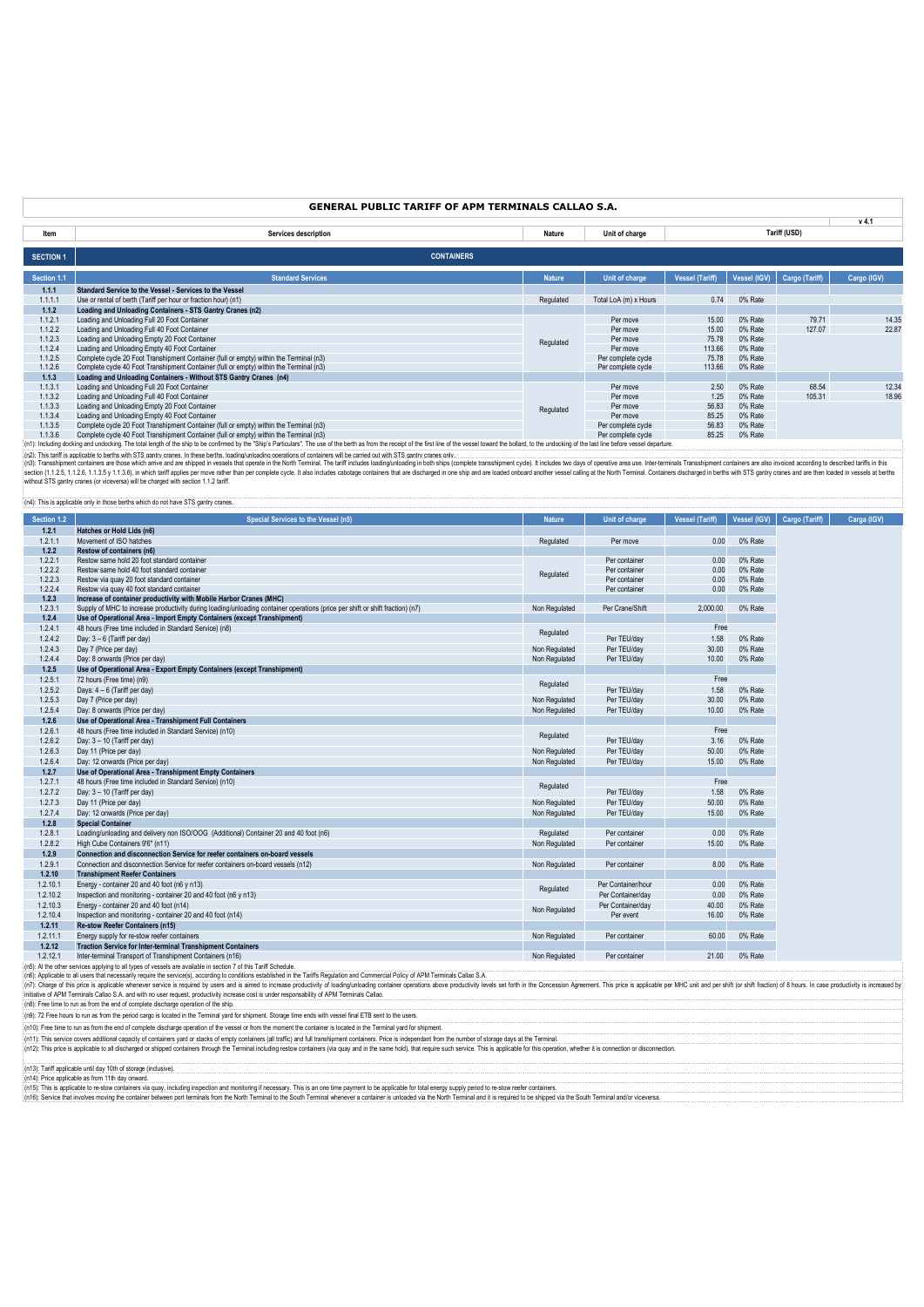# **GENERAL PUBLIC TARIFF OF APM TERMINALS CALLAO S.A.**

**v 4.1**

|                  |                                                                                                                                                                                                                                |               |                       |                 |              |                | .           |
|------------------|--------------------------------------------------------------------------------------------------------------------------------------------------------------------------------------------------------------------------------|---------------|-----------------------|-----------------|--------------|----------------|-------------|
| Item             | Services description                                                                                                                                                                                                           | Nature        | Unit of charge        |                 |              | Tariff (USD)   |             |
|                  |                                                                                                                                                                                                                                |               |                       |                 |              |                |             |
| <b>SECTION 1</b> | <b>CONTAINERS</b>                                                                                                                                                                                                              |               |                       |                 |              |                |             |
| Section 1.1      | <b>Standard Services</b>                                                                                                                                                                                                       | <b>Nature</b> | Unit of charge        | Vessel (Tariff) | Vessel (IGV) | Cargo (Tariff) | Cargo (IGV) |
| 1.1.1            | Standard Service to the Vessel - Services to the Vessel                                                                                                                                                                        |               |                       |                 |              |                |             |
| 1.1.1.1          | Use or rental of berth (Tariff per hour or fraction hour) (n1)                                                                                                                                                                 | Regulated     | Total LoA (m) x Hours | 0.74            | 0% Rate      |                |             |
| 1.1.2            | Loading and Unloading Containers - STS Gantry Cranes (n2)                                                                                                                                                                      |               |                       |                 |              |                |             |
| 1.1.2.1          | Loading and Unloading Full 20 Foot Container                                                                                                                                                                                   |               | Per move              | 15.00           | 0% Rate      | 79.71          | 14.35       |
| 1.1.2.2          | Loading and Unloading Full 40 Foot Container                                                                                                                                                                                   |               | Per move              | 15.00           | 0% Rate      | 127.07         | 22.87       |
| 1.1.2.3          | Loading and Unloading Empty 20 Foot Container                                                                                                                                                                                  | Regulated     | Per move              | 75.78           | 0% Rate      |                |             |
| 1.1.2.4          | Loading and Unloading Empty 40 Foot Container                                                                                                                                                                                  |               | Per move              | 113.66          | 0% Rate      |                |             |
| 1.1.2.5          | Complete cycle 20 Foot Transhipment Container (full or empty) within the Terminal (n3)                                                                                                                                         |               | Per complete cycle    | 75.78           | 0% Rate      |                |             |
| 1.1.2.6          | Complete cycle 40 Foot Transhipment Container (full or empty) within the Terminal (n3)                                                                                                                                         |               | Per complete cycle    | 113.66          | 0% Rate      |                |             |
| 1.1.3            | Loading and Unloading Containers - Without STS Gantry Cranes (n4)                                                                                                                                                              |               |                       |                 |              |                |             |
| 1.1.3.1          | Loading and Unloading Full 20 Foot Container                                                                                                                                                                                   |               | Per move              | 2.50            | 0% Rate      | 68.54          | 12.34       |
| 1.1.3.2          | Loading and Unloading Full 40 Foot Container                                                                                                                                                                                   |               | Per move              | 1.25            | 0% Rate      | 105.31         | 18.96       |
| 1.1.3.3          | Loading and Unloading Empty 20 Foot Container                                                                                                                                                                                  | Regulated     | Per move              | 56.83           | 0% Rate      |                |             |
| 1.1.3.4          | Loading and Unloading Empty 40 Foot Container                                                                                                                                                                                  |               | Per move              | 85.25           | 0% Rate      |                |             |
| 1.1.3.5          | Complete cycle 20 Foot Transhipment Container (full or empty) within the Terminal (n3)                                                                                                                                         |               | Per complete cycle    | 56.83           | 0% Rate      |                |             |
| 1.1.3.6          | Complete cycle 40 Foot Transhipment Container (full or empty) within the Terminal (n3)                                                                                                                                         |               | Per complete cycle    | 85.25           | 0% Rate      |                |             |
|                  | (n1): Including docking and undocking. The total length of the ship to be confirmed by the "Ship's Particulars". The use of the berth as from the receipt of the first line of the yessel toward the bollard, to the undocking |               |                       |                 |              |                |             |

(n1): Including docking and undocking. The total length of the ship to be confirmed by the "Ship's Particulars". The use of the betth as from the receipt of the first line of the vessel toward the bollard, to the undocking without STS gantry cranes (or viceversa) will be charged with section 1.1.2 tariff.

[n4]: This is applicable only in those berths which do not have STS gantry cranes.

| Section 1.2 | Special Services to the Vessel (n5)                                                                                                                                                     | <b>Nature</b> | Unit of charge     | <b>Vessel (Tariff)</b> | Vessel (IGV) | Cargo (Tariff) | Carga (IGV) |
|-------------|-----------------------------------------------------------------------------------------------------------------------------------------------------------------------------------------|---------------|--------------------|------------------------|--------------|----------------|-------------|
| 1.2.1       | Hatches or Hold Lids (n6)                                                                                                                                                               |               |                    |                        |              |                |             |
| 1.2.1.1     | Movement of ISO hatches                                                                                                                                                                 | Regulated     | Per move           | 0.00                   | 0% Rate      |                |             |
| 1.2.2       | Restow of containers (n6)                                                                                                                                                               |               |                    |                        |              |                |             |
| 1.2.2.1     | Restow same hold 20 foot standard container                                                                                                                                             |               | Per container      | 0.00                   | 0% Rate      |                |             |
| 1.2.2.2     | Restow same hold 40 foot standard container                                                                                                                                             | Regulated     | Per container      | 0.00                   | 0% Rate      |                |             |
| 1.2.2.3     | Restow via quay 20 foot standard container                                                                                                                                              |               | Per container      | 0.00                   | 0% Rate      |                |             |
| 1.2.2.4     | Restow via quay 40 foot standard container                                                                                                                                              |               | Per container      | 0.00                   | 0% Rate      |                |             |
| 1.2.3       | Increase of container productivity with Mobile Harbor Cranes (MHC)                                                                                                                      |               |                    |                        |              |                |             |
| 1.2.3.1     | Supply of MHC to increase productivity during loading/unloading container operations (price per shift or shift fraction) (n7)                                                           | Non Regulated | Per Crane/Shift    | 2.000.00               | 0% Rate      |                |             |
| 1.2.4       | Use of Operational Area - Import Empty Containers (except Transhipment)                                                                                                                 |               |                    |                        |              |                |             |
| 1.2.4.1     | 48 hours (Free time included in Standard Service) (n8)                                                                                                                                  | Regulated     |                    | Free                   |              |                |             |
| 1.2.4.2     | Day: 3 - 6 (Tariff per day)                                                                                                                                                             |               | Per TEU/day        | 1.58                   | 0% Rate      |                |             |
| 1.2.4.3     | Day 7 (Price per day)                                                                                                                                                                   | Non Regulated | Per TEU/dav        | 30.00                  | 0% Rate      |                |             |
| 1.2.4.4     | Day: 8 onwards (Price per day)                                                                                                                                                          | Non Regulated | Per TEU/dav        | 10.00                  | 0% Rate      |                |             |
| 1.2.5       | Use of Operational Area - Export Empty Containers (except Transhipment)                                                                                                                 |               |                    |                        |              |                |             |
| 1.2.5.1     | 72 hours (Free time) (n9)                                                                                                                                                               | Regulated     |                    | Free                   |              |                |             |
| 1.2.5.2     | Days: $4-6$ (Tariff per day)                                                                                                                                                            |               | Per TEU/day        | 1.58                   | 0% Rate      |                |             |
| 1.2.5.3     | Day 7 (Price per day)                                                                                                                                                                   | Non Regulated | Per TEU/dav        | 30.00                  | 0% Rate      |                |             |
| 1.2.5.4     | Day: 8 onwards (Price per day)                                                                                                                                                          | Non Regulated | Per TEU/day        | 10.00                  | 0% Rate      |                |             |
| 1.2.6       | Use of Operational Area - Transhipment Full Containers                                                                                                                                  |               |                    |                        |              |                |             |
| 1.2.6.1     | 48 hours (Free time included in Standard Service) (n10)                                                                                                                                 | Regulated     |                    | Free                   |              |                |             |
| 1.2.6.2     | Day: 3 - 10 (Tariff per day)                                                                                                                                                            |               | Per TEU/day        | 3.16                   | 0% Rate      |                |             |
| 1.2.6.3     | Day 11 (Price per day)                                                                                                                                                                  | Non Regulated | Per TEU/dav        | 50.00                  | 0% Rate      |                |             |
| 1.2.6.4     | Day: 12 onwards (Price per day)                                                                                                                                                         | Non Regulated | Per TEU/day        | 15.00                  | 0% Rate      |                |             |
| 1.2.7       | Use of Operational Area - Transhipment Empty Containers                                                                                                                                 |               |                    |                        |              |                |             |
| 1.2.7.1     | 48 hours (Free time included in Standard Service) (n10)                                                                                                                                 | Regulated     |                    | Free                   |              |                |             |
| 1.2.7.2     | Day: $3 - 10$ (Tariff per day)                                                                                                                                                          |               | Per TEU/day        | 1.58                   | 0% Rate      |                |             |
| 1.2.7.3     | Day 11 (Price per day)                                                                                                                                                                  | Non Regulated | Per TEU/dav        | 50.00                  | 0% Rate      |                |             |
| 1.2.7.4     | Day: 12 onwards (Price per day)                                                                                                                                                         | Non Regulated | Per TEU/day        | 15.00                  | 0% Rate      |                |             |
| 1.2.8       | <b>Special Container</b>                                                                                                                                                                |               |                    |                        |              |                |             |
| 1.2.8.1     | Loading/unloading and delivery non ISO/OOG (Additional) Container 20 and 40 foot (n6)                                                                                                   | Regulated     | Per container      | 0.00                   | 0% Rate      |                |             |
| 1.2.8.2     | High Cube Containers 9'6" (n11)                                                                                                                                                         | Non Regulated | Per container      | 15.00                  | 0% Rate      |                |             |
| 1.2.9       | Connection and disconnection Service for reefer containers on-board vessels                                                                                                             |               |                    |                        |              |                |             |
| 1.2.9.1     | Connection and disconnection Service for reefer containers on-board vessels (n12)                                                                                                       | Non Regulated | Per container      | 8.00                   | 0% Rate      |                |             |
| 1.2.10      | <b>Transhipment Reefer Containers</b>                                                                                                                                                   |               |                    |                        |              |                |             |
| 1.2.10.1    | Energy - container 20 and 40 foot (n6 y n13)                                                                                                                                            | Regulated     | Per Container/hour | 0.00                   | 0% Rate      |                |             |
| 1.2.10.2    | Inspection and monitoring - container 20 and 40 foot (n6 y n13)                                                                                                                         |               | Per Container/day  | 0.00                   | 0% Rate      |                |             |
| 1.2.10.3    | Energy - container 20 and 40 foot (n14)                                                                                                                                                 | Non Regulated | Per Container/dav  | 40.00                  | 0% Rate      |                |             |
| 1.2.10.4    | Inspection and monitoring - container 20 and 40 foot (n14)                                                                                                                              |               | Per event          | 16.00                  | 0% Rate      |                |             |
| 1.2.11      | <b>Re-stow Reefer Containers (n15)</b>                                                                                                                                                  |               |                    |                        |              |                |             |
| 1.2.11.1    | Energy supply for re-stow reefer containers                                                                                                                                             | Non Regulated | Per container      | 60.00                  | 0% Rate      |                |             |
| 1.2.12      | <b>Traction Service for Inter-terminal Transhipment Containers</b>                                                                                                                      |               |                    |                        |              |                |             |
| 1.2.12.1    | Inter-terminal Transport of Transhipment Containers (n16)                                                                                                                               | Non Regulated | Per container      | 21.00                  | 0% Rate      |                |             |
|             | (n5): Al the other services applying to all types of vessels are available in section 7 of this Tariff Schedule.                                                                        |               |                    |                        |              |                |             |
|             | (n6): Applicable to all users that necessarily require the service(s), according to conditions established in the Tariffs Regulation and Commercial Policy of APM Terminals Callao S.A. |               |                    |                        |              |                |             |

(n9): 72 Free hours to run as from the period cargo is located in the Terminal yard for shipment. Storage time ends with vessel final ETB sent to the users. (n6): Applicable to all users that necessarily require the service(s), according to conditions established in the Tariffs Regulation and Commercial Policy of APM Terminals Callao S.A.<br>(n7): Charge of this process for the p

(n10): Free time to run as forn the end of complete discharge operation of the vessel or from the moment the container is located in the Terminal yard for shipment.<br>(n11): This service covers additional capacity of contain (n13): Tariff applicable until day 10th of storage (inclusive). (n14): Price applicable as from 11th day onward. 

(n15): This is applicable to re-stow containers via guay, including inspection and monitoring if recessary. This is an one time parment to be applicable for total energy supply period to respute the south and it is require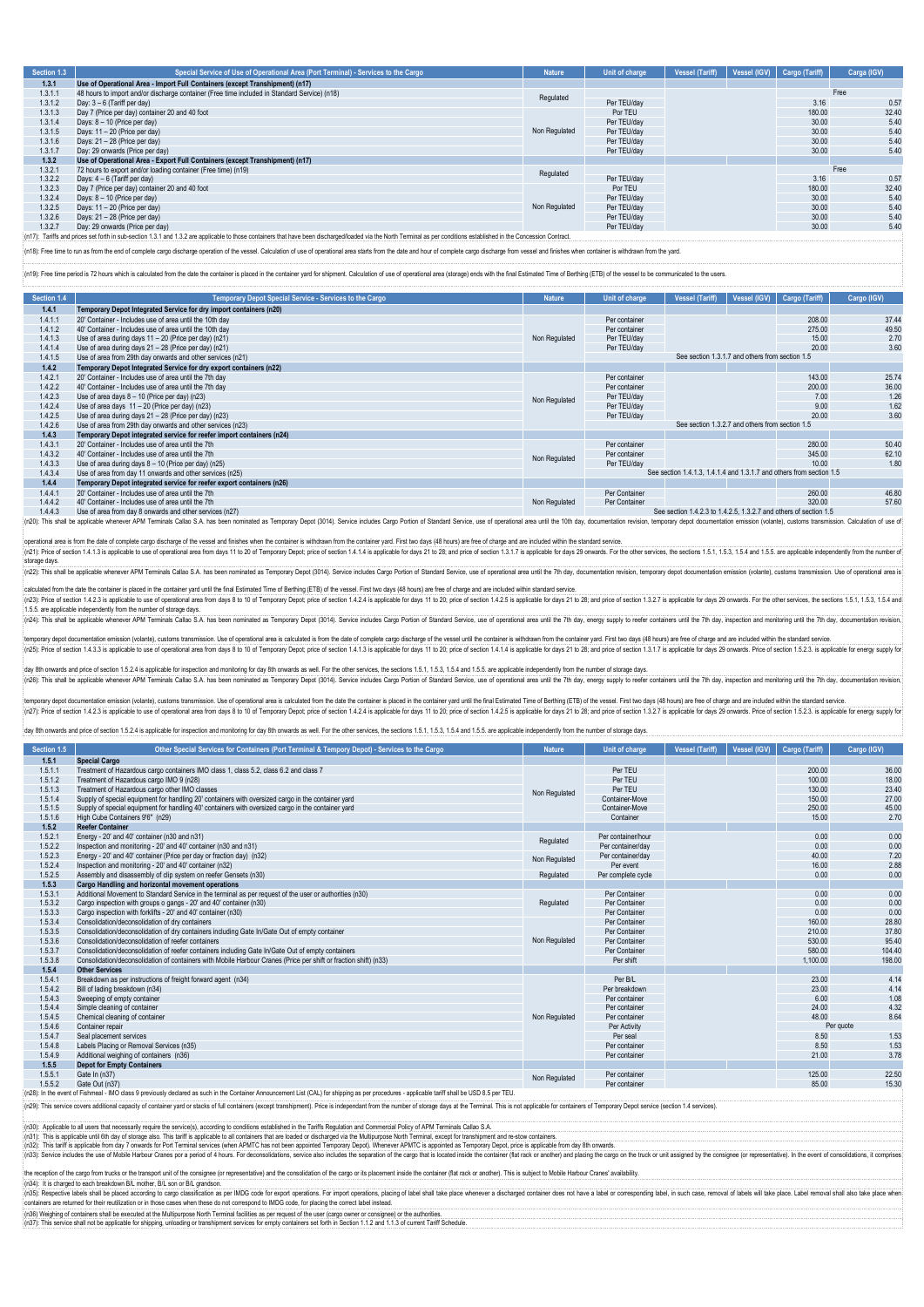| Section 1.3 | Special Service of Use of Operational Area (Port Terminal) - Services to the Cargo                                                                                                                                      | <b>Nature</b> | Unit of charge | <b>Vessel (Tariff)</b> | Vessel (IGV) | Cargo (Tariff) | Carga (IGV) |
|-------------|-------------------------------------------------------------------------------------------------------------------------------------------------------------------------------------------------------------------------|---------------|----------------|------------------------|--------------|----------------|-------------|
| 1.3.1       | Use of Operational Area - Import Full Containers (except Transhipment) (n17)                                                                                                                                            |               |                |                        |              |                |             |
| 1.3.1.1     | 48 hours to import and/or discharge container (Free time included in Standard Service) (n18)                                                                                                                            | Regulated     |                |                        |              |                | Free        |
| 1.3.1.2     | Dav: 3 - 6 (Tariff per dav)                                                                                                                                                                                             |               | Per TEU/dav    |                        |              | 3.16           | 0.57        |
| 1.3.1.3     | Day 7 (Price per day) container 20 and 40 foot                                                                                                                                                                          |               | Por TEU        |                        |              | 180.00         | 32.40       |
| 1.3.1.4     | Days: 8 - 10 (Price per day)                                                                                                                                                                                            |               | Per TEU/day    |                        | 30.00        | 5.40           |             |
| 1.3.1.5     | Days: 11 - 20 (Price per day)                                                                                                                                                                                           | Non Regulated | Per TEU/day    |                        |              | 30.00          | 5.40        |
| 1.3.1.6     | Days: 21 - 28 (Price per day)                                                                                                                                                                                           |               | Per TEU/day    |                        |              | 30.00          | 5.40        |
| 1.3.1.7     | Day: 29 onwards (Price per day)                                                                                                                                                                                         |               | Per TEU/dav    |                        |              | 30.00          | 5.40        |
| 1.3.2       | Use of Operational Area - Export Full Containers (except Transhipment) (n17)                                                                                                                                            |               |                |                        |              |                |             |
| 1.3.2.1     | 72 hours to export and/or loading container (Free time) (n19)                                                                                                                                                           | Regulated     |                |                        |              |                | Free        |
| 1.3.2.2     | Days: 4 - 6 (Tariff per day)                                                                                                                                                                                            |               | Per TEU/dav    |                        |              | 3.16           | 0.57        |
| 1.3.2.3     | Day 7 (Price per day) container 20 and 40 foot                                                                                                                                                                          |               | Por TEU        |                        |              | 180.00         | 32.40       |
| 1.3.2.4     | Days: 8 - 10 (Price per day)                                                                                                                                                                                            |               | Per TEU/dav    |                        |              | 30.00          | 5.40        |
| 1.3.2.5     | Days: 11 - 20 (Price per day)                                                                                                                                                                                           | Non Regulated | Per TEU/dav    |                        |              | 30.00          | 5.40        |
| 1.3.2.6     | Davs: 21 - 28 (Price per dav)                                                                                                                                                                                           |               | Per TEU/dav    |                        |              | 30.00          | 5.40        |
| 1.3.2.7     | Day: 29 onwards (Price per day)                                                                                                                                                                                         |               | Per TEU/dav    |                        |              | 30.00          | 5.40        |
|             | (n17): Tariffs and prices set forth in sub-section 1.3.1 and 1.3.2 are applicable to those containers that have been discharged/loaded via the North Terminal as per conditions established in the Concession Contract. |               |                |                        |              |                |             |

.<br>[n18]: Free time to run as from the end of complete cargo discharge operation of the vessel. Calculation of use of operational area starts from the date and hour of complete cargo discharge from vessel and finishes when

(n19): Free time period is 72 hours which is calculated from the date the container is placed in the container yard for shipment. Calculation of use of operational area (storage) ends with the final Estimated Time of Berth

| Section 1.4 | Temporary Depot Special Service - Services to the Cargo               | <b>Nature</b> | Unit of charge                                  | <b>Vessel (Tariff)</b>                                            | Vessel (IGV) | Cargo (Tariff)                                                       | Cargo (IGV) |  |  |
|-------------|-----------------------------------------------------------------------|---------------|-------------------------------------------------|-------------------------------------------------------------------|--------------|----------------------------------------------------------------------|-------------|--|--|
| 1.4.1       | Temporary Depot Integrated Service for dry import containers (n20)    |               |                                                 |                                                                   |              |                                                                      |             |  |  |
| 1.4.1.      | 20' Container - Includes use of area until the 10th day               |               | Per container                                   |                                                                   |              | 208.00                                                               | 37.44       |  |  |
| 1.4.1.2     | 40' Container - Includes use of area until the 10th day               |               | Per container                                   |                                                                   |              | 275.00                                                               | 49.50       |  |  |
| 1.4.1.3     | Use of area during days 11 - 20 (Price per day) (n21)                 | Non Regulated | Per TEU/dav                                     |                                                                   |              | 15.00                                                                | 2.70        |  |  |
| 1.4.1.4     | Use of area during days 21 - 28 (Price per day) (n21)                 |               | Per TEU/day                                     |                                                                   |              | 20.00                                                                | 3.60        |  |  |
| 1.4.1.5     | Use of area from 29th day onwards and other services (n21)            |               |                                                 | See section 1.3.1.7 and others from section 1.5                   |              |                                                                      |             |  |  |
| 1.4.2       | Temporary Depot Integrated Service for dry export containers (n22)    |               |                                                 |                                                                   |              |                                                                      |             |  |  |
| 1.4.2.1     | 20' Container - Includes use of area until the 7th day                |               | Per container                                   |                                                                   |              | 143.00                                                               | 25.74       |  |  |
| 1.4.2.2     | 40' Container - Includes use of area until the 7th day                |               | Per container                                   |                                                                   |              | 200.00                                                               | 36.00       |  |  |
| 1.4.2.3     | Use of area days $8 - 10$ (Price per day) (n23)                       | Non Regulated | Per TEU/day                                     |                                                                   |              | 7.00                                                                 | 1.26        |  |  |
| 1.4.2.4     | Use of area days $11 - 20$ (Price per day) (n23)                      |               | Per TEU/day                                     |                                                                   |              | 9.00                                                                 | 1.62        |  |  |
| 1.4.2.5     | Use of area during days 21 - 28 (Price per day) (n23)                 |               | Per TEU/dav                                     |                                                                   |              | 20.00                                                                | 3.60        |  |  |
| 1.4.2.6     | Use of area from 29th day onwards and other services (n23)            |               | See section 1.3.2.7 and others from section 1.5 |                                                                   |              |                                                                      |             |  |  |
| 1.4.3       | Temporary Depot integrated service for reefer import containers (n24) |               |                                                 |                                                                   |              |                                                                      |             |  |  |
| 1.4.3.1     | 20' Container - Includes use of area until the 7th                    |               | Per container                                   |                                                                   |              | 280.00                                                               | 50.40       |  |  |
| 1.4.3.2     | 40' Container - Includes use of area until the 7th                    | Non Regulated | Per container                                   |                                                                   |              | 345.00                                                               | 62.1        |  |  |
| 1.4.3.3     | Use of area during days 8 - 10 (Price per day) (n25)                  |               | Per TEU/dav                                     |                                                                   |              | 10.00                                                                | 1.80        |  |  |
| 1.4.3.4     | Use of area from day 11 onwards and other services (n25)              |               |                                                 |                                                                   |              | See section 1.4.1.3, 1.4.1.4 and 1.3.1.7 and others from section 1.5 |             |  |  |
| 1.4.4       | Temporary Depot integrated service for reefer export containers (n26) |               |                                                 |                                                                   |              |                                                                      |             |  |  |
| 1.4.4.1     | 20' Container - Includes use of area until the 7th                    |               | Per Container                                   |                                                                   |              | 260.00                                                               | 46.8        |  |  |
| 1.4.4.2     | 40' Container - Includes use of area until the 7th                    | Non Regulated | Per Container                                   |                                                                   |              | 320.00                                                               | 57.60       |  |  |
| 1.4.4.3     | Use of area from day 8 onwards and other services (n27)               |               |                                                 | See section 1.4.2.3 to 1.4.2.5, 1.3.2.7 and others of section 1.5 |              |                                                                      |             |  |  |

1.4.4.3 Use of area from day 8 onwards and other services (n27)<br>(n20): This shall be applicable whenever APM Terminals Callao S.A. has been nominated as Temporary Depot (3014). Service includes Cargo Portion of Standard Se

operational area is from the date of complete cargo discharge of the vessel and finishes when the container is withdrawn from the container yard. First two days (48 hours) are free of charge and are included within the sta storage days. (n22): This shall be applicable whenever APM Terminals Callao S.A. has been nominated as Temporary Depot (3014). Service includes Cargo Portion of Standard Service, use of operational area until the 7th day, documentation revision, temporary depot documentation emission (volante), customs transmission. Use of operational area is

ed from the date the container is placed in the container yard until the final Estimated Time of Berthing (ETB) of the vessel. First two days (48 hours) are free of charge and are included within standard service.

(n23): Price of section 14.23 is applicable to use of operational area form days 8 to 10 of Temporary Depot; price of section 14.24 is applicable for days 11 to 20, price of section 14.24 is applicable for days 21 to 28; a (n24): This shall be applicable whenever APM Terminals Callao S.A. has been nominated as Temporary Depot (3014). Service includes Cargo Portion of Standard Service, use of operational area until the 7th day, energy supply to reefer containers until the 7th day, inspection and monitoring until the 7th day, documentation revision,

temporary depot documentation emission (volante), customs transmission. Use of operational area is calculated is from the date of complete cago discharge of the vessel until the container is withdrawn from the container ya

day 8th onwards and price of section 1.5.2.4 is applicable for inspection and monitoring for day 8th onwards as well. For the other services, the sections 1.5.1, 1.5.3, 1.5.4 and 1.5.5. are applicable independently from th

on emission (volante), customs transmission. Use of operational area is calculated from the date the container is placed in the container yard until the final Estimated Time of Berthing (ETB) of the vessel. First two days (n27); Price of section 14.2.3 is applicable to use of operational area from days 8 to 10 of Temporary Depot: price of section 14.2.4 is applicable for days 11 to 20; price of section 14.2.5 is applicable for days 11 to 22

day 8th onwards and price of section 1.5.2.4 is applicable for inspection and monitoring for day 8th onwards as well. For the other services, the sections 1.5.1, 1.5.3, 1.5.4 and 1.5.5. are applicable independently from th

| Section 1.5 | Other Special Services for Containers (Port Terminal & Tempory Depot) - Services to the Cargo                                                                                                                                  | <b>Nature</b> | <b>Unit of charge</b> | <b>Vessel (Tariff)</b> | Vessel (IGV) | Cargo (Tariff) | Cargo (IGV) |
|-------------|--------------------------------------------------------------------------------------------------------------------------------------------------------------------------------------------------------------------------------|---------------|-----------------------|------------------------|--------------|----------------|-------------|
| 1.5.1       | <b>Special Cargo</b>                                                                                                                                                                                                           |               |                       |                        |              |                |             |
| 1.5.1.1     | Treatment of Hazardous cargo containers IMO class 1, class 5.2, class 6.2 and class 7                                                                                                                                          |               | Per TEU               |                        |              | 200.00         | 36.00       |
| 1.5.1.2     | Treatment of Hazardous cargo IMO 9 (n28)                                                                                                                                                                                       |               | Per TEU               |                        |              | 100.00         | 18.00       |
| 1.5.1.3     | Treatment of Hazardous cargo other IMO classes                                                                                                                                                                                 | Non Regulated | Per TEU               |                        |              | 130.00         | 23.40       |
| 1.5.1.4     | Supply of special equipment for handling 20' containers with oversized cargo in the container yard                                                                                                                             |               | Container-Move        |                        |              | 150.00         | 27.00       |
| 1.5.1.5     | Supply of special equipment for handling 40' containers with oversized cargo in the container yard                                                                                                                             |               | Container-Move        |                        |              | 250.00         | 45.00       |
| 1.5.1.6     | High Cube Containers 9'6" (n29)                                                                                                                                                                                                |               | Container             |                        |              | 15.00          | 2.70        |
| 1.5.2       | <b>Reefer Container</b>                                                                                                                                                                                                        |               |                       |                        |              |                |             |
| 1.5.2.1     | Energy - 20' and 40' container (n30 and n31)                                                                                                                                                                                   | Regulated     | Per container/hour    |                        |              | 0.00           | 0.00        |
| 1.5.2.2     | Inspection and monitoring - 20' and 40' container (n30 and n31)                                                                                                                                                                |               | Per container/day     |                        |              | 0.00           | 0.00        |
| 1.5.2.3     | Energy - 20' and 40' container (Price per day or fraction day) (n32)                                                                                                                                                           | Non Regulated | Per container/day     |                        |              | 40.00          | 7.20        |
| 1.5.2.4     | Inspection and monitoring - 20' and 40' container (n32)                                                                                                                                                                        |               | Per event             |                        |              | 16.00          | 2.88        |
| 1.5.2.5     | Assembly and disassembly of clip system on reefer Gensets (n30)                                                                                                                                                                | Regulated     | Per complete cycle    |                        |              | 0.00           | 0.00        |
| 1.5.3       | Cargo Handling and horizontal movement operations                                                                                                                                                                              |               |                       |                        |              |                |             |
| 1.5.3.1     | Additional Movement to Standard Service in the terminal as per request of the user or authorities (n30)                                                                                                                        |               | Per Container         |                        |              | 0.00           | 0.00        |
| 1.5.3.2     | Cargo inspection with groups o gangs - 20' and 40' container (n30)                                                                                                                                                             | Regulated     | Per Container         |                        |              | 0.00           | 0.00        |
| 1.5.3.3     | Cargo inspection with forklifts - 20' and 40' container (n30)                                                                                                                                                                  |               | Per Container         |                        |              | 0.00           | 0.00        |
| 1.5.3.4     | Consolidation/deconsolidation of dry containers                                                                                                                                                                                |               | Per Container         |                        |              | 160.00         | 28.80       |
| 1.5.3.5     | Consolidation/deconsolidation of dry containers including Gate In/Gate Out of empty container                                                                                                                                  |               | Per Container         |                        |              | 210.00         | 37.80       |
| 1.5.3.6     | Consolidation/deconsolidation of reefer containers                                                                                                                                                                             | Non Regulated | Per Container         |                        | 530.00       | 95.40          |             |
| 1.5.3.7     | Consolidation/deconsolidation of reefer containers including Gate In/Gate Out of empty containers                                                                                                                              |               | Per Container         |                        |              | 580.00         | 104.40      |
| 1.5.3.8     | Consolidation/deconsolidation of containers with Mobile Harbour Cranes (Price per shift or fraction shift) (n33)                                                                                                               |               | Per shift             |                        |              | 1,100.00       | 198.00      |
| 1.5.4       | <b>Other Services</b>                                                                                                                                                                                                          |               |                       |                        |              |                |             |
| 1.5.4.1     | Breakdown as per instructions of freight forward agent (n34)                                                                                                                                                                   |               | Per B/L               |                        |              | 23.00          | 4.14        |
| 1.5.4.2     | Bill of lading breakdown (n34)                                                                                                                                                                                                 |               | Per breakdown         |                        |              | 23.00          | 4.14        |
| 1.5.4.3     | Sweeping of empty container                                                                                                                                                                                                    |               | Per container         |                        |              | 6.00           | 1.08        |
| 1.5.4.4     | Simple cleaning of container                                                                                                                                                                                                   |               | Per container         |                        |              | 24.00          | 4.32        |
| 1.5.4.5     | Chemical cleaning of container                                                                                                                                                                                                 | Non Regulated | Per container         |                        |              | 48.00          | 8.64        |
| 1.5.4.6     | Container repair                                                                                                                                                                                                               |               | Per Activity          |                        |              |                | Per quote   |
| 1.5.4.7     | Seal placement services                                                                                                                                                                                                        |               | Per seal              |                        |              | 8.50           | 1.53        |
| 1.5.4.8     | Labels Placing or Removal Services (n35)                                                                                                                                                                                       |               | Per container         |                        |              | 8.50           | 1.53        |
| 1.5.4.9     | Additional weighing of containers (n36)                                                                                                                                                                                        |               | Per container         |                        |              | 21.00          | 3.78        |
| 1.5.5       | <b>Depot for Empty Containers</b>                                                                                                                                                                                              |               |                       |                        |              |                |             |
| 1.5.5.1     | Gate In (n37)                                                                                                                                                                                                                  | Non Regulated | Per container         |                        |              | 125.00         | 22.50       |
| 1.5.5.2     | Gate Out (n37)                                                                                                                                                                                                                 |               | Per container         |                        |              | 85.00          | 15.30       |
|             | (n28): In the event of Fishmeal - IMO class 9 previously declared as such in the Container Announcement List (CAL) for shipping as per procedures - applicable tariff shall be USD 8.5 per TEU.                                |               |                       |                        |              |                |             |
|             | (n29): This service covers additional capacity of container yard or stacks of full containers (except transhipment). Price is independant from the number of storage days at the Terminal. This is not applicable for containe |               |                       |                        |              |                |             |
|             |                                                                                                                                                                                                                                |               |                       |                        |              |                |             |

(n30): Applicable to all users that necessarily require the service(s), according to conditions established in the Tariffs Regulation and Commercial Policy of APM Terminals Callao S.A.

(n32): This tariff is applicable from day 7 onwards for Port Terminal services (when APMTC has not been appointed Temporary Depot). Whenever APMTC is appointed as Temporary Depot, price is applicable from day this conseque the reception of the cargo from trucks or the transport unit of the consignee (or representative) and the consolidation of the cargo or its placement inside the container (flat rack or another). This is subject to Mobile H (n34): It is changed to each breakdown B/L mother, B/L son or B/L grandson.<br>(n35): Respective about a both on the state about the serve of the state income as per IMDG code for export operations. For import operations, pla (n31): This is applicable until 6th day of storage also. This tariff is applicable to all containers that are loaded or discharged via the Multipurpose North Terminal, except for transhipment and re-stow containers.

(n36) Weighing of containers shall be executed at the Multipurpose North Terminal facilities as per request of the user (cargo owner or consignee) or the authorities.<br>(n37): This service shall not be applicable for shippin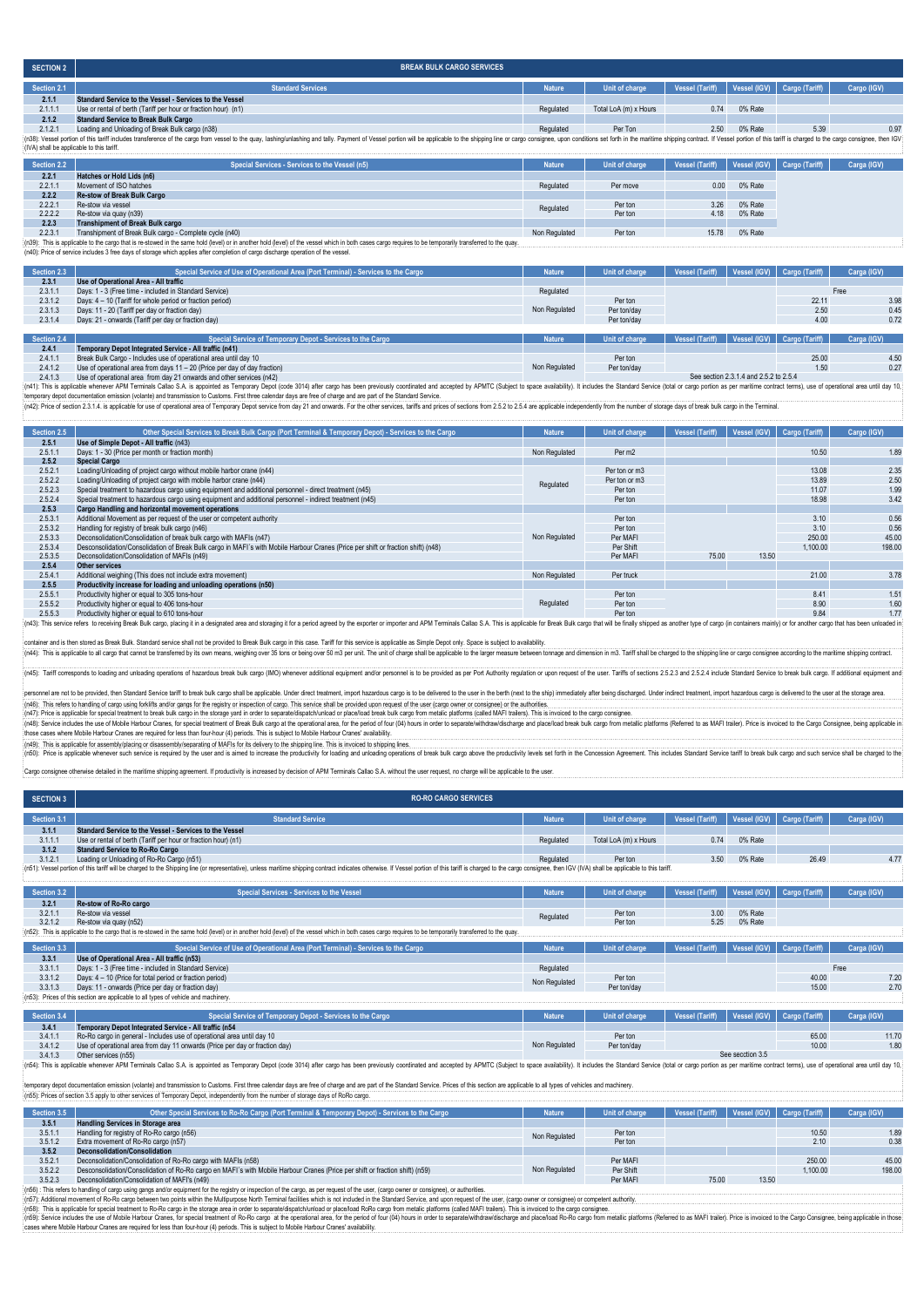| <b>SECTION 2</b> | <b>BREAK BULK CARGO SERVICES</b>                                                                                                                                                                                                                                              |               |                       |                        |         |                             |             |  |  |
|------------------|-------------------------------------------------------------------------------------------------------------------------------------------------------------------------------------------------------------------------------------------------------------------------------|---------------|-----------------------|------------------------|---------|-----------------------------|-------------|--|--|
| Section 2.1      | <b>Standard Services</b>                                                                                                                                                                                                                                                      | <b>Nature</b> | Unit of charge        | <b>Vessel (Tariff)</b> |         | Vessel (IGV) Cargo (Tariff) | Cargo (IGV) |  |  |
| 2.1.1            | Standard Service to the Vessel - Services to the Vessel                                                                                                                                                                                                                       |               |                       |                        |         |                             |             |  |  |
| 2.1.1.1          | Use or rental of berth (Tariff per hour or fraction hour) (n1)                                                                                                                                                                                                                | Regulated     | Total LoA (m) x Hours | 0.74                   | 0% Rate |                             |             |  |  |
| 2.1.2            | <b>Standard Service to Break Bulk Cargo</b>                                                                                                                                                                                                                                   |               |                       |                        |         |                             |             |  |  |
| 2.1.2.1          | Loading and Unloading of Break Bulk cargo (n38)                                                                                                                                                                                                                               | Regulated     | Per Ton               | 2.50                   | 0% Rate | 5.39                        | 0.97        |  |  |
|                  | {n38}: Vessel portion of this tariff includes transference of the cargo from vessel to the quay, lashing/unlashing and tally. Payment of Vessel portion will be applicable to the shipping line or cargo consignee, upon condi<br>: (IVA) shall be applicable to this tariff. |               |                       |                        |         |                             |             |  |  |
| Section 2.2      | Special Services - Services to the Vessel (n5)                                                                                                                                                                                                                                | <b>Nature</b> | Unit of charge        | Vessel (Tariff)        |         | Vessel (IGV) Cargo (Tariff) | Carga (IGV) |  |  |
| 2.2.1            | Hatches or Hold Lids (n6)                                                                                                                                                                                                                                                     |               |                       |                        |         |                             |             |  |  |
| 2.2.1.1          | Movement of ISO hatches                                                                                                                                                                                                                                                       | Regulated     | Per move              | 0.00                   | 0% Rate |                             |             |  |  |
| 2.2.2            | <b>Re-stow of Break Bulk Cargo</b>                                                                                                                                                                                                                                            |               |                       |                        |         |                             |             |  |  |
| 2.2.2.1          | Re-stow via vessel                                                                                                                                                                                                                                                            | Regulated     | Per ton               | 3.26                   | 0% Rate |                             |             |  |  |
| 2.2.2.2          | Re-stow via quay (n39)                                                                                                                                                                                                                                                        |               | Per ton               | 4.18                   | 0% Rate |                             |             |  |  |
| 222              | Toppelstown and of Docals Dully against                                                                                                                                                                                                                                       |               |                       |                        |         |                             |             |  |  |

**2.2.3 Transhipment of Break Bulk cargo** Transhipment of Break Bulk cargo - Complete cycle (n40)<br>able to the cargo that is edowed in the same hold (level) of the cassel which in both cases cargo requires to be temporarly transferred to the quay. Non Regulated Per

(n39): This is applicable to the cargo that is re-stowed in the same hold (leve) or in another hold (level) of the vessel which in both cases cargo requires to be temporarily transferred to the quay.<br>(n40): Price of servic

| Section 2.3 | Special Service of Use of Operational Area (Port Terminal) - Services to the Cargo | <b>Nature</b> | Unit of charge | <b>Vessel (Tariff)</b> |                                        | Vessel (IGV) Cargo (Tariff) | Carga (IGV) |
|-------------|------------------------------------------------------------------------------------|---------------|----------------|------------------------|----------------------------------------|-----------------------------|-------------|
| 2.3.1       | Use of Operational Area - All traffic                                              |               |                |                        |                                        |                             |             |
| 2.3.1.1     | Days: 1 - 3 (Free time - included in Standard Service)                             | Regulated     |                |                        |                                        |                             | Free        |
| 2.3.1.2     | Days: 4 - 10 (Tariff for whole period or fraction period)                          |               | Per ton        |                        |                                        | 22.11                       | 3.98        |
| 2.3.1.3     | Days: 11 - 20 (Tariff per day or fraction day)                                     | Non Regulated | Per ton/day    |                        |                                        | 2.50                        | 0.45        |
| 2.3.1.4     | Days: 21 - onwards (Tariff per day or fraction day)                                |               | Per ton/day    |                        |                                        | 4.00                        | 0.72        |
|             |                                                                                    |               |                |                        |                                        |                             |             |
| Section 2.4 | Special Service of Temporary Depot - Services to the Cargo                         | <b>Nature</b> | Unit of charge | <b>Vessel (Tariff)</b> |                                        | Vessel (IGV) Cargo (Tariff) | Carga (IGV) |
| 2.4.1       | Temporary Depot Integrated Service - All traffic (n41)                             |               |                |                        |                                        |                             |             |
| 2.4.1.1     | Break Bulk Cargo - Includes use of operational area until day 10                   |               | Per ton        |                        |                                        | 25.00                       | 4.50        |
| 2.4.1.2     | Use of operational area from days 11 - 20 (Price per day of day fraction)          | Non Regulated | Per ton/day    |                        |                                        | 1.50                        | 0.27        |
| 2413        | Use of operational area, from day 21 onwards and other services (n42)              |               |                |                        | See section 2.3.1.4 and 2.5.2 to 2.5.4 |                             |             |

2.4.1.3 Use of operational area from day 21 onwards and other services (n42)

(n41): This is applicable whenever APM Terminals Callao S.A. is appointed as Temporary Depot (code 3014) after cargo has been previously coordinated and accepted by APMTC (Subject to space availability). It includes the St

| Section 2.5 | Other Special Services to Break Bulk Cargo (Port Terminal & Temporary Depot) - Services to the Cargo                                                                                                                           | <b>Nature</b> | Unit of charge | <b>Vessel (Tariff)</b> | Vessel (IGV) | Cargo (Tariff) | Cargo (IGV)   |
|-------------|--------------------------------------------------------------------------------------------------------------------------------------------------------------------------------------------------------------------------------|---------------|----------------|------------------------|--------------|----------------|---------------|
|             |                                                                                                                                                                                                                                |               |                |                        |              |                |               |
| 2.5.1       | Use of Simple Depot - All traffic (n43)                                                                                                                                                                                        |               |                |                        |              |                |               |
| 2.5.1.1     | Days: 1 - 30 (Price per month or fraction month)                                                                                                                                                                               | Non Regulated | Per m2         |                        |              | 10.50          | 1.89          |
| 2.5.2       | <b>Special Cargo</b>                                                                                                                                                                                                           |               |                |                        |              |                |               |
| 2.5.2.1     | Loading/Unloading of project cargo without mobile harbor crane (n44)                                                                                                                                                           |               | Per ton or m3  |                        |              | 13.08          | 2.35          |
| 2.5.2.2     | Loading/Unloading of project cargo with mobile harbor crane (n44)                                                                                                                                                              | Regulated     | Per ton or m3  |                        |              | 13.89          | 2.50          |
| 2.5.2.3     | Special treatment to hazardous cargo using equipment and additional personnel - direct treatment (n45)                                                                                                                         |               | Per ton        |                        |              | 11.07          | 1.99          |
| 2.5.2.4     | Special treatment to hazardous cargo using equipment and additional personnel - indirect treatment (n45)                                                                                                                       |               | Per ton        |                        |              | 18.98          | 3.42          |
| 2.5.3       | Cargo Handling and horizontal movement operations                                                                                                                                                                              |               |                |                        |              |                |               |
| 2.5.3.1     | Additional Movement as per request of the user or competent authority                                                                                                                                                          |               | Per ton        |                        |              | 3.10           | 0.56          |
| 2.5.3.2     | Handling for registry of break bulk cargo (n46)                                                                                                                                                                                |               | Per ton        |                        |              | 3.10           | 0.56          |
| 2.5.3.3     | Deconsolidation/Consolidation of break bulk cargo with MAFIs (n47)                                                                                                                                                             | Non Regulated | Per MAFI       |                        |              | 250.00         | 45.00         |
| 2.5.3.4     | Desconsolidation/Consolidation of Break Bulk cargo in MAFI's with Mobile Harbour Cranes (Price per shift or fraction shift) (n48)                                                                                              |               | Per Shift      |                        |              | 1.100.00       | 198.00        |
| 2.5.3.5     | Deconsolidation/Consolidation of MAFIs (n49)                                                                                                                                                                                   |               | Per MAFI       | 75.00                  | 13.50        |                |               |
| 2.5.4       | Other services                                                                                                                                                                                                                 |               |                |                        |              |                |               |
| 2.5.4.1     | Additional weighing (This does not include extra movement)                                                                                                                                                                     | Non Regulated | Per truck      |                        |              | 21.00          | 3.78          |
| 2.5.5       | Productivity increase for loading and unloading operations (n50)                                                                                                                                                               |               |                |                        |              |                |               |
| 2.5.5.1     | Productivity higher or equal to 305 tons-hour                                                                                                                                                                                  |               | Per ton        |                        |              | 8.41           | $1.5^{\circ}$ |
| 2.5.5.2     | Productivity higher or equal to 406 tons-hour                                                                                                                                                                                  | Regulated     | Per ton        |                        |              | 8.90           | 1.60          |
| 2.5.5.3     | Productivity higher or equal to 610 tons-hour                                                                                                                                                                                  |               | Per ton        |                        |              | 9.84           | 1.77          |
|             | (n43): This service refers to receiving Break Bulk cargo, placing it in a designated area and storaging it for a period agreed by the exporter or importer and APM Terminals Callao S.A. This is applicable for Break Bulk car |               |                |                        |              |                |               |

er and is then stored as Break Bulk. Standard service shall not be provided to Break Bulk cargo in this case. Tariff for this service is applicable as Simple Depot only. Space is subject to availability

critics in applicable to all cargo that cannot be transferred by its own means, weighing over 35 tons or being over 50 m3 per unit. The unit of charge shall be applicable to the larger measure between tonnage and dimension

(n45): Tariff corresponds to loading and unloading operations of hazardous break bulk cargo (IMO) whenever additional equipment and/or personnel is to be provided as per Port Authority regulation or upon request of the use

:<br>: personnel are not to be provided, then Standard Service tariff to break bulk cargo shall be applicable. Under direct treatment, import hazardous cargo is to be delivered to the user in the berth (react to the sign) imm

(n46): This refers to handling of cargo using forkilits and/or gangs for the registry or inspection of cargo. This service shall be provided upon request of the user (cargo owner or consignes) or the authorities. Invoiced those cases where Mobile Harbour Cranes are required for less than four-hour (4) periods. This is subject to Mobile Harbour Cranes' availability. 

(n49). This septicable to rassembly placing or disascentibly persuading of MAFis for its deliver) to it deliver) to its is eignorial ine. This is involve to incomes the productivity for loading or and part and consequation

Cargo consignee otherwise detailed in the maritime shipping agreement. If productivity is increased by decision of APM Terminals Callao S.A. without the user request, no charge will be applicable to the user.

| <b>SECTION 3</b> | <b>RO-RO CARGO SERVICES</b>                                                                                                                                                                                                    |               |                       |                        |                     |                       |             |
|------------------|--------------------------------------------------------------------------------------------------------------------------------------------------------------------------------------------------------------------------------|---------------|-----------------------|------------------------|---------------------|-----------------------|-------------|
| Section 3.1      | <b>Standard Service</b>                                                                                                                                                                                                        | <b>Nature</b> | Unit of charge        | <b>Vessel (Tariff)</b> | Vessel (IGV)        | <b>Cargo (Tariff)</b> | Carga (IGV) |
| 3.1.1            | Standard Service to the Vessel - Services to the Vessel                                                                                                                                                                        |               |                       |                        |                     |                       |             |
| 3.1.1.1          | Use or rental of berth (Tariff per hour or fraction hour) (n1)                                                                                                                                                                 | Regulated     | Total LoA (m) x Hours | 0.74                   | 0% Rate             |                       |             |
| 3.1.2            | <b>Standard Service to Ro-Ro Cargo</b>                                                                                                                                                                                         |               |                       |                        |                     |                       |             |
| 3.1.2.1          | Loading or Unloading of Ro-Ro Cargo (n51)                                                                                                                                                                                      | Regulated     | Per ton               | 3.50                   | 0% Rate             | 26.49                 | 4.77        |
|                  | (n51): Vessel portion of this tariff will be charged to the Shipping line (or representative), unless maritime shipping contract indicates otherwise. If Vessel portion of this tariff is charged to the cargo consignee, then |               |                       |                        |                     |                       |             |
|                  |                                                                                                                                                                                                                                |               |                       |                        |                     |                       |             |
| Section 3.2      | <b>Special Services - Services to the Vessel</b>                                                                                                                                                                               | <b>Nature</b> | Unit of charge        | <b>Vessel (Tariff)</b> | <b>Vessel (IGV)</b> | Cargo (Tariff)        | Carga (IGV) |
| 3.2.1            | Re-stow of Ro-Ro cargo                                                                                                                                                                                                         |               |                       |                        |                     |                       |             |
| 3.2.1.1          | Re-stow via vessel                                                                                                                                                                                                             | Regulated     | Per ton               | 3.00                   | 0% Rate             |                       |             |
| 3.2.1.2          | Re-stow via quay (n52)                                                                                                                                                                                                         |               | Per ton               | 5.25                   | 0% Rate             |                       |             |
|                  | (n52): This is applicable to the cargo that is re-stowed in the same hold (level) or in another hold (level) of the vessel which in both cases cargo requires to be temporarily transferred to the quay                        |               |                       |                        |                     |                       |             |
| Section 3.3      | Special Service of Use of Operational Area (Port Terminal) - Services to the Cargo                                                                                                                                             | <b>Nature</b> | Unit of charge        | <b>Vessel (Tariff)</b> | Vessel (IGV)        | Cargo (Tariff)        | Carga (IGV) |
| 3.3.1            | Use of Operational Area - All traffic (n53)                                                                                                                                                                                    |               |                       |                        |                     |                       |             |
| 3.3.1.1          | Days: 1 - 3 (Free time - included in Standard Service)                                                                                                                                                                         | Regulated     |                       |                        |                     |                       | Free        |
| 3.3.1.2          | Days: 4 - 10 (Price for total period or fraction period)                                                                                                                                                                       |               | Per ton               |                        |                     | 40.00                 | 7.20        |
| 3.3.1.3          | Days: 11 - onwards (Price per day or fraction day)                                                                                                                                                                             | Non Regulated | Per ton/day           |                        |                     | 15.00                 | 2.70        |
|                  | (n53): Prices of this section are applicable to all types of vehicle and machinery                                                                                                                                             |               |                       |                        |                     |                       |             |
|                  |                                                                                                                                                                                                                                |               |                       |                        |                     |                       |             |
| Section 3.4      | Special Service of Temporary Depot - Services to the Cargo                                                                                                                                                                     | <b>Nature</b> | Unit of charge        | <b>Vessel (Tariff)</b> | Vessel (IGV)        | Cargo (Tariff)        | Carga (IGV) |
| 3.4.1            | Temporary Depot Integrated Service - All traffic (n54                                                                                                                                                                          |               |                       |                        |                     |                       |             |
| 3.4.1.1          | Ro-Ro cargo in general - Includes use of operational area until day 10                                                                                                                                                         |               | Per ton               |                        |                     | 65.00                 | 11.70       |

3.4.1.1 Ro-Ro cargo in general - Includes use of operational area until day 10<br>3.4.1.2 Use of operational area from day 11 onwards (Price per day or fraction day)<br>4.5.3.1.1.3 Other senvices (n55): Fact are provided at a co

on (volante) and transmission to Customs. First three calendar days are free of charge and are part of the Standard Service. Prices of this section are applicable to all types of vehicles and machinery.

(n55): Prices of section 3.5 apply to other services of Temporary Depot, independently from the number of storage days of RoRo cargo.

| Section 3.5 | Other Special Services to Ro-Ro Cargo (Port Terminal & Temporary Depot) - Services to the Cargo                                                                                                                                | <b>Nature</b> | Unit of charge | Vessel (Tariff)   Vessel (IGV)   Cargo (Tariff) |       |          | Carga (IGV) |
|-------------|--------------------------------------------------------------------------------------------------------------------------------------------------------------------------------------------------------------------------------|---------------|----------------|-------------------------------------------------|-------|----------|-------------|
| 3.5.1       | <b>Handling Services in Storage area</b>                                                                                                                                                                                       |               |                |                                                 |       |          |             |
| 3.5.1.1     | Handling for registry of Ro-Ro cargo (n56)                                                                                                                                                                                     | Non Regulated | Per ton        |                                                 |       | 10.50    | 1.89        |
| 3.5.1.2     | Extra movement of Ro-Ro cargo (n57)                                                                                                                                                                                            |               | Per ton        |                                                 |       | 2.10     | 0.38        |
| 3.5.2       | Deconsolidation/Consolidation                                                                                                                                                                                                  |               |                |                                                 |       |          |             |
| 3.5.2.1     | Deconsolidation/Consolidation of Ro-Ro cargo with MAFIs (n58)                                                                                                                                                                  |               | Per MAFI       |                                                 |       | 250.00   | 45.00       |
| 3.5.2.2     | Desconsolidation/Consolidation of Ro-Ro cargo en MAFI's with Mobile Harbour Cranes (Price per shift or fraction shift) (n59)                                                                                                   | Non Regulated | Per Shift      |                                                 |       | 1.100.00 | 198.00      |
| 3.5.2.3     | Deconsolidation/Consolidation of MAFI's (n49)                                                                                                                                                                                  |               | Per MAFI       | 75.00                                           | 13.50 |          |             |
|             | LEAN THE SECRET RESIDENT CONTROL CONTROLLED IN THE SECRET SECRET SECRET CARD THE CONTROL CONTROL OF A SECRET CONTROL OF SECRETARY CONTROL OF A SECRET AND SERVED ON A SECRET OF A SECRET AND SERVED ON A SECRET OF A SECRET AN |               |                |                                                 |       |          |             |

This refers to handling of cargo using gangs and/or equipment for the registry or inspection of the cargo, as per request of the user, (cargo owner or consignee), or authorities.

(n57): Additional movement of Ro-Ro cargo between two points within the Multipurose Noth Terminal facilities which is not included in the Standard Service, and upon request of the user, (cargo owner or consignee) or compet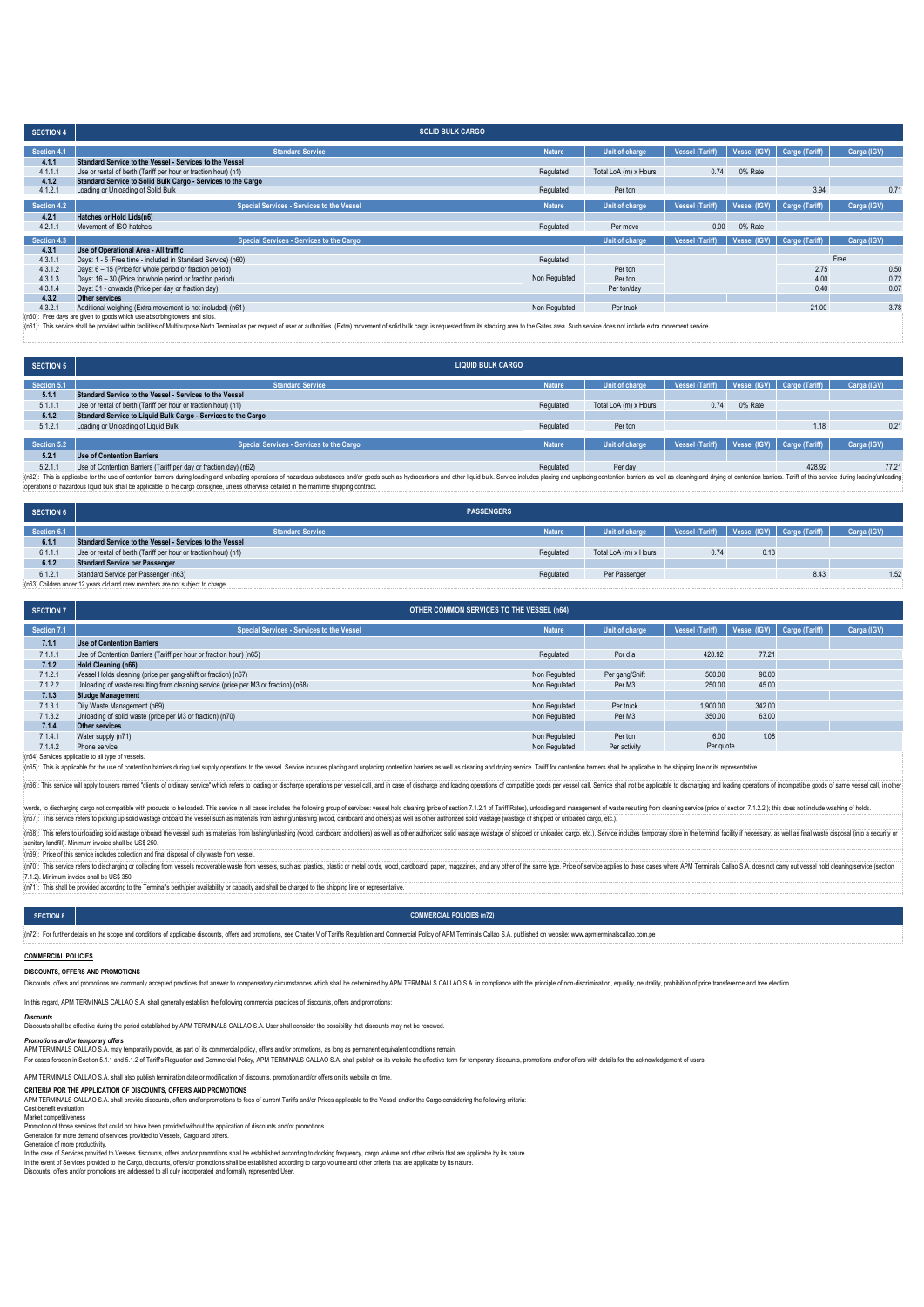| <b>SECTION 4</b> | <b>SOLID BULK CARGO</b>                                                                                                                                                                                                        |               |                       |                        |              |                |             |
|------------------|--------------------------------------------------------------------------------------------------------------------------------------------------------------------------------------------------------------------------------|---------------|-----------------------|------------------------|--------------|----------------|-------------|
| Section 4.1      | <b>Standard Service</b>                                                                                                                                                                                                        | <b>Nature</b> | Unit of charge        | <b>Vessel (Tariff)</b> | Vessel (IGV) | Cargo (Tariff) | Carga (IGV) |
| 4.1.1            | Standard Service to the Vessel - Services to the Vessel                                                                                                                                                                        |               |                       |                        |              |                |             |
| 4.1.1.1          | Use or rental of berth (Tariff per hour or fraction hour) (n1)                                                                                                                                                                 | Regulated     | Total LoA (m) x Hours | 0.74                   | 0% Rate      |                |             |
| 4.1.2            | Standard Service to Solid Bulk Cargo - Services to the Cargo                                                                                                                                                                   |               |                       |                        |              |                |             |
| 4.1.2.1          | Loading or Unloading of Solid Bulk                                                                                                                                                                                             | Regulated     | Per ton               |                        |              | 3.94           | 0.71        |
| Section 4.2      | <b>Special Services - Services to the Vessel</b>                                                                                                                                                                               | <b>Nature</b> | Unit of charge        | <b>Vessel (Tariff)</b> | Vessel (IGV) | Cargo (Tariff) | Carga (IGV) |
| 4.2.1            | Hatches or Hold Lids(n6)                                                                                                                                                                                                       |               |                       |                        |              |                |             |
| 4.2.1.1          | Movement of ISO hatches                                                                                                                                                                                                        | Regulated     | Per move              | 0.00                   | 0% Rate      |                |             |
| Section 4.3      | Special Services - Services to the Cargo                                                                                                                                                                                       |               | Unit of charge        | <b>Vessel (Tariff)</b> | Vessel (IGV) | Cargo (Tariff) | Carga (IGV) |
| 4.3.1            | Use of Operational Area - All traffic                                                                                                                                                                                          |               |                       |                        |              |                |             |
| 4.3.1.1          | Days: 1 - 5 (Free time - included in Standard Service) (n60)                                                                                                                                                                   | Regulated     |                       |                        |              |                | Free        |
| 4.3.1.2          | Days: 6 - 15 (Price for whole period or fraction period)                                                                                                                                                                       |               | Per ton               |                        |              | 2.75           | 0.50        |
| 4.3.1.3          | Days: 16 - 30 (Price for whole period or fraction period)                                                                                                                                                                      | Non Regulated | Per ton               |                        |              | 4.00           | 0.72        |
| 4.3.1.4          | Days: 31 - onwards (Price per day or fraction day)                                                                                                                                                                             |               | Per ton/day           |                        |              | 0.40           | 0.07        |
| 4.3.2            | <b>Other services</b>                                                                                                                                                                                                          |               |                       |                        |              |                |             |
| 4.3.2.1          | Additional weighing (Extra movement is not included) (n61)                                                                                                                                                                     | Non Regulated | Per truck             |                        |              | 21.00          | 3.78        |
|                  | (n60): Free days are given to goods which use absorbing towers and silos.                                                                                                                                                      |               |                       |                        |              |                |             |
|                  | (n61): This service shall be provided within facilities of Multipurpose North Terminal as per request of user or authorities. (Extra) movement of solid bulk cargo is requested from its stacking area to the Gates area. Such |               |                       |                        |              |                |             |

| <b>SECTION 5</b> | <b>LIQUID BULK CARGO</b>                                          |               |                       |                        |         |                             |             |
|------------------|-------------------------------------------------------------------|---------------|-----------------------|------------------------|---------|-----------------------------|-------------|
| Section 5.1      | <b>Standard Service</b>                                           | <b>Nature</b> | Unit of charge        | <b>Vessel (Tariff)</b> |         | Vessel (IGV) Cargo (Tariff) | Carga (IGV) |
| 5.1.1            | Standard Service to the Vessel - Services to the Vessel           |               |                       |                        |         |                             |             |
| 5.1.1.1          | Use or rental of berth (Tariff per hour or fraction hour) (n1)    | Regulated     | Total LoA (m) x Hours | 0.74                   | 0% Rate |                             |             |
| 5.1.2            | Standard Service to Liquid Bulk Cargo - Services to the Cargo     |               |                       |                        |         |                             |             |
| 5.1.2.1          | Loading or Unloading of Liquid Bulk                               | Regulated     | Per ton               |                        |         | 1.18                        | 0.21        |
|                  |                                                                   |               |                       |                        |         |                             |             |
| Section 5.2      | Special Services - Services to the Cargo                          | Nature,       | Unit of charge        | <b>Vessel (Tariff)</b> |         | Vessel (IGV) Cargo (Tariff) | Carga (IGV) |
| 5.2.1            | <b>Use of Contention Barriers</b>                                 |               |                       |                        |         |                             |             |
| 5.2.1.1          | Use of Contention Barriers (Tariff per day or fraction day) (n62) | Regulated     | Per dav               |                        |         | 428.92                      | 77.21       |

5.2.1.1 Use of Contention Barriers (Tariff per day or fraction day) (n62)<br>(n62): This applicable to the use of contention barriers during bading and undading operations of hazardous substances and/or goods such as hydrocar

| <b>SECTION 6</b> | <b>PASSENGERS</b>                                              |               |                       |                 |      |                             |             |
|------------------|----------------------------------------------------------------|---------------|-----------------------|-----------------|------|-----------------------------|-------------|
| Section 6.1      | <b>Standard Service</b>                                        | <b>Nature</b> | Unit of charge        | Vessel (Tariff) |      | Vessel (IGV) Cargo (Tariff) | Carga (IGV) |
| 6.1.1            | Standard Service to the Vessel - Services to the Vessel        |               |                       |                 |      |                             |             |
| 6.1.1.           | Use or rental of berth (Tariff per hour or fraction hour) (n1) | Regulated     | Total LoA (m) x Hours | 0.74            | 0.13 |                             |             |
| 6.1.2            | <b>Standard Service per Passenger</b>                          |               |                       |                 |      |                             |             |
| 6.1.2.           | Standard Service per Passenger (n63)                           | Regulated     | Per Passenger         |                 |      | 8.43                        | 1.52        |

(n63) Children under 12 years old and crew members are not subject to charge.

| <b>SECTION 7</b> | <b>OTHER COMMON SERVICES TO THE VESSEL (n64)</b>                                    |               |                |                        |        |                             |             |  |  |
|------------------|-------------------------------------------------------------------------------------|---------------|----------------|------------------------|--------|-----------------------------|-------------|--|--|
| Section 7.1      | <b>Special Services - Services to the Vessel</b>                                    | <b>Nature</b> | Unit of charge | <b>Vessel (Tariff)</b> |        | Vessel (IGV) Cargo (Tariff) | Carga (IGV) |  |  |
| 7.1.1            | <b>Use of Contention Barriers</b>                                                   |               |                |                        |        |                             |             |  |  |
| 7.1.1.1          | Use of Contention Barriers (Tariff per hour or fraction hour) (n65)                 | Regulated     | Por día        | 428.92                 | 77.21  |                             |             |  |  |
| 7.1.2            | <b>Hold Cleaning (n66)</b>                                                          |               |                |                        |        |                             |             |  |  |
| 7.1.2.1          | Vessel Holds cleaning (price per gang-shift or fraction) (n67)                      | Non Regulated | Per gang/Shift | 500.00                 | 90.00  |                             |             |  |  |
| 7.1.2.2          | Unloading of waste resulting from cleaning service (price per M3 or fraction) (n68) | Non Regulated | Per M3         | 250.00                 | 45.00  |                             |             |  |  |
| 7.1.3            | <b>Sludge Management</b>                                                            |               |                |                        |        |                             |             |  |  |
| 7.1.3.1          | Oily Waste Management (n69)                                                         | Non Regulated | Per truck      | 1.900.00               | 342.00 |                             |             |  |  |
| 7.1.3.2          | Unloading of solid waste (price per M3 or fraction) (n70)                           | Non Regulated | Per M3         | 350.00                 | 63.00  |                             |             |  |  |
| 7.1.4            | Other services                                                                      |               |                |                        |        |                             |             |  |  |
| 7.1.4.1          | Water supply (n71)                                                                  | Non Regulated | Per ton        | 6.00                   | 1.08   |                             |             |  |  |
| 7.1.4.2          | Phone service                                                                       | Non Regulated | Per activity   | Per quote              |        |                             |             |  |  |

(n64) Services applicable to all type of vessels.<br>(n65): This is applicable for the use of contention barriers during fuel supply operations to the vessel. Service includes placing and unplacing contention barriers as well

(n66): This service will apply to users named "clients of ordinary service" which refers to loading or discharge operations per vessel call, and in case of discharge and loading operations of compatible goods per vessel ca

words, to discharging cargo not compatible with products to be loaded. This service in all cases includes the following group of services: vessel hold cleaning (price of section 7.1.2.1 of Tariff Rates), unloading and mana

(n68): This refers to unloading solid wastage onboard the vessel such as materials from lashing/unlashing (wood, cardboard and others) as well as other authorized solid wastage (wastage of shipped or unloaded cargo, etc.). sanitary landfill). Minimum inv (n69): Price of this service includes collection and final disposal of oily waste from vessel. .<br>(n70): This service refers to discharging or collecting from vessels recoverable waste from vessels, such asc plastics, plastic or metal cords, wood, cardboard, paper, magazines, and any other of the same type. Price of

| (material come of another come of another and another and another another another another another another and another and and another and and and and and another and another and another and another and another and another |
|-------------------------------------------------------------------------------------------------------------------------------------------------------------------------------------------------------------------------------|
| 7.1.2). Minimum invoice shall be US\$ 350.                                                                                                                                                                                    |
| (n71): This shall be provided according to the Terminal's berth/pier availability or capacity and shall be charged to the shipping line or representative.                                                                    |
|                                                                                                                                                                                                                               |

**COMMERCIAL POLICIES (n72)**

1672): For further details on the scope and conditions of apolicable discounts, offers and promotions, see Charter V of Tariffs Requlation and Commercial Policy of APM Terminals Callao S.A. published on website: www.apmter

# **COMMERCIAL POLICIES**

**SECTION 8**

**DISCOUNTS, OFFERS AND PROMOTIONS**

Discounts, offers and promotions are commonly accepted practices that answer to compensatory circumstances which shall be determined by APM TERMINALS CALLAO S.A. in compliance with the principle of non-discrimination, equa

In this regard, APM TERMINALS CALLAO S.A. shall generally establish the following commercial practices of discounts, offers and promotions:

## *Discounts*

Discounts shall be effective during the period established by APM TERMINALS CALLAO S.A. User shall consider the possibility that discounts may not be renewed.

Promotions and/or temporary offers<br>APM TERMINALS CALLAO SA. may temporarily provide, as part of its commercial policy, offers and/or promotions, as long as permanent equivalent conditions remain.<br>For cases forseen in Secti

APM TERMINALS CALLAO S.A. shall also publish termination date or modification of discounts, promotion and/or offers on its website on time.

CRITERIA POR THE APPLICATION OF DISCOUNTS, OFFERS AND PROMOTIONS<br>APM TERMINALS CALLAO S.A. shall provide discounts, offers and/or promotions to fees of current Tariffs and/or Prices applicable to the Vessel and/or the Carg Cost-benefit evaluation

Market competitiveness Promotion of those services that could not have been provided without the application of discounts and/or promotions.

Generation for more demand of services provided to Vessels, Cargo and others.

Generation of more productivity.<br>In the case of Services provided to Vessels discounts, offers and/or promotions shall be established according to docking frequency, cargo volume and other criteria that are applicabe by it